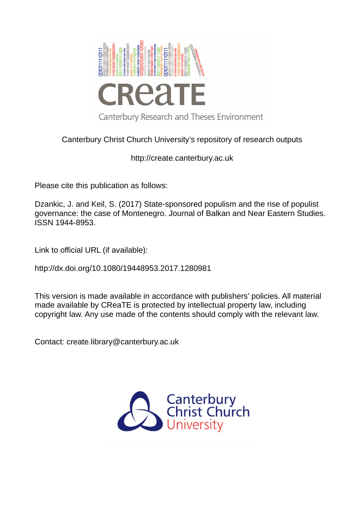

# Canterbury Christ Church University's repository of research outputs

http://create.canterbury.ac.uk

Please cite this publication as follows:

Dzankic, J. and Keil, S. (2017) State-sponsored populism and the rise of populist governance: the case of Montenegro. Journal of Balkan and Near Eastern Studies. ISSN 1944-8953.

Link to official URL (if available):

http://dx.doi.org/10.1080/19448953.2017.1280981

This version is made available in accordance with publishers' policies. All material made available by CReaTE is protected by intellectual property law, including copyright law. Any use made of the contents should comply with the relevant law.

Contact: create.library@canterbury.ac.uk

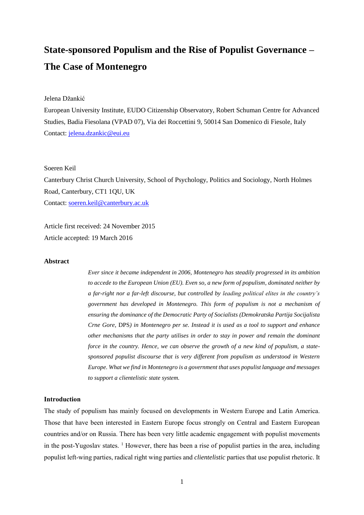# **State-sponsored Populism and the Rise of Populist Governance – The Case of Montenegro**

Jelena Džankić

European University Institute, EUDO Citizenship Observatory, Robert Schuman Centre for Advanced Studies, Badia Fiesolana (VPAD 07), Via dei Roccettini 9, 50014 San Domenico di Fiesole, Italy Contact: [jelena.dzankic@eui.eu](mailto:jelena.dzankic@eui.eu) 

Soeren Keil

Canterbury Christ Church University, School of Psychology, Politics and Sociology, North Holmes Road, Canterbury, CT1 1QU, UK Contact: [soeren.keil@canterbury.ac.uk](mailto:soeren.keil@canterbury.ac.uk)

Article first received: 24 November 2015 Article accepted: 19 March 2016

#### **Abstract**

*Ever since it became independent in 2006, Montenegro has steadily progressed in its ambition to accede to the European Union (EU). Even so, a new form of populism, dominated neither by a far-right nor a far-left discourse, but controlled by leading political elites in the country's government has developed in Montenegro. This form of populism is not a mechanism of ensuring the dominance of the Democratic Party of Socialists (Demokratska Partija Socijalista Crne Gore*, DPS*) in Montenegro per se. Instead it is used as a tool to support and enhance other mechanisms that the party utilises in order to stay in power and remain the dominant force in the country. Hence, we can observe the growth of a new kind of populism, a statesponsored populist discourse that is very different from populism as understood in Western Europe. What we find in Montenegro is a government that uses populist language and messages to support a clientelistic state system.* 

#### **Introduction**

The study of populism has mainly focused on developments in Western Europe and Latin America. Those that have been interested in Eastern Europe focus strongly on Central and Eastern European countries and/or on Russia. There has been very little academic engagement with populist movements in the post-Yugoslav states.  $\frac{1}{1}$  However, there has been a rise of populist parties in the area, including populist left-wing parties, radical right wing parties and *clientelistic* parties that use populist rhetoric. It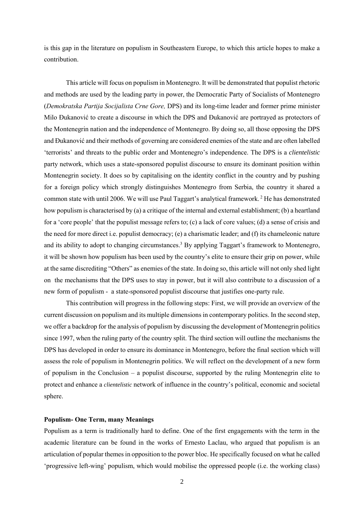is this gap in the literature on populism in Southeastern Europe, to which this article hopes to make a contribution.

This article will focus on populism in Montenegro. It will be demonstrated that populist rhetoric and methods are used by the leading party in power, the Democratic Party of Socialists of Montenegro (*Demokratska Partija Socijalista Crne Gore,* DPS) and its long-time leader and former prime minister Milo Đukanović to create a discourse in which the DPS and Đukanović are portrayed as protectors of the Montenegrin nation and the independence of Montenegro. By doing so, all those opposing the DPS and Đukanović and their methods of governing are considered enemies of the state and are often labelled 'terrorists' and threats to the public order and Montenegro's independence. The DPS is a *clientelistic*  party network, which uses a state-sponsored populist discourse to ensure its dominant position within Montenegrin society. It does so by capitalising on the identity conflict in the country and by pushing for a foreign policy which strongly distinguishes Montenegro from Serbia, the country it shared a common state with until 2006. We will use Paul Taggart's analytical framework. <sup>2</sup> He has demonstrated how populism is characterised by (a) a critique of the internal and external establishment; (b) a heartland for a 'core people' that the populist message refers to; (c) a lack of core values; (d) a sense of crisis and the need for more direct i.e. populist democracy; (e) a charismatic leader; and (f) its chameleonic nature and its ability to adopt to changing circumstances. <sup>3</sup> By applying Taggart's framework to Montenegro, it will be shown how populism has been used by the country's elite to ensure their grip on power, while at the same discrediting "Others" as enemies of the state. In doing so, this article will not only shed light on the mechanisms that the DPS uses to stay in power, but it will also contribute to a discussion of a new form of populism - a state-sponsored populist discourse that justifies one-party rule.

This contribution will progress in the following steps: First, we will provide an overview of the current discussion on populism and its multiple dimensions in contemporary politics. In the second step, we offer a backdrop for the analysis of populism by discussing the development of Montenegrin politics since 1997, when the ruling party of the country split. The third section will outline the mechanisms the DPS has developed in order to ensure its dominance in Montenegro, before the final section which will assess the role of populism in Montenegrin politics. We will reflect on the development of a new form of populism in the Conclusion – a populist discourse, supported by the ruling Montenegrin elite to protect and enhance a *clientelistic* network of influence in the country's political, economic and societal sphere.

# **Populism- One Term, many Meanings**

Populism as a term is traditionally hard to define. One of the first engagements with the term in the academic literature can be found in the works of Ernesto Laclau, who argued that populism is an articulation of popular themes in opposition to the power bloc. He specifically focused on what he called 'progressive left-wing' populism, which would mobilise the oppressed people (i.e. the working class)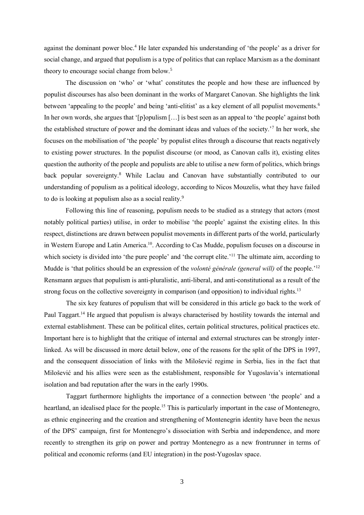against the dominant power bloc.<sup>4</sup> He later expanded his understanding of 'the people' as a driver for social change, and argued that populism is a type of politics that can replace Marxism as a the dominant theory to encourage social change from below.<sup>5</sup>

The discussion on 'who' or 'what' constitutes the people and how these are influenced by populist discourses has also been dominant in the works of Margaret Canovan. She highlights the link between 'appealing to the people' and being 'anti-elitist' as a key element of all populist movements.<sup>6</sup> In her own words, she argues that '[p]opulism […] is best seen as an appeal to 'the people' against both the established structure of power and the dominant ideas and values of the society.'<sup>7</sup> In her work, she focuses on the mobilisation of 'the people' by populist elites through a discourse that reacts negatively to existing power structures. In the populist discourse (or mood, as Canovan calls it), existing elites question the authority of the people and populists are able to utilise a new form of politics, which brings back popular sovereignty.<sup>8</sup> While Laclau and Canovan have substantially contributed to our understanding of populism as a political ideology, according to Nicos Mouzelis, what they have failed to do is looking at populism also as a social reality.<sup>9</sup>

Following this line of reasoning, populism needs to be studied as a strategy that actors (most notably political parties) utilise, in order to mobilise 'the people' against the existing elites. In this respect, distinctions are drawn between populist movements in different parts of the world, particularly in Western Europe and Latin America. <sup>10</sup>. According to Cas Mudde, populism focuses on a discourse in which society is divided into 'the pure people' and 'the corrupt elite.'<sup>11</sup> The ultimate aim, according to Mudde is 'that politics should be an expression of the *volonté générale (general will)* of the people.'<sup>12</sup> Rensmann argues that populism is anti-pluralistic, anti-liberal, and anti-constitutional as a result of the strong focus on the collective sovereignty in comparison (and opposition) to individual rights.<sup>13</sup>

The six key features of populism that will be considered in this article go back to the work of Paul Taggart.<sup>14</sup> He argued that populism is always characterised by hostility towards the internal and external establishment. These can be political elites, certain political structures, political practices etc. Important here is to highlight that the critique of internal and external structures can be strongly interlinked. As will be discussed in more detail below, one of the reasons for the split of the DPS in 1997, and the consequent dissociation of links with the Milošević regime in Serbia, lies in the fact that Milošević and his allies were seen as the establishment, responsible for Yugoslavia's international isolation and bad reputation after the wars in the early 1990s.

Taggart furthermore highlights the importance of a connection between 'the people' and a heartland, an idealised place for the people.<sup>15</sup> This is particularly important in the case of Montenegro, as ethnic engineering and the creation and strengthening of Montenegrin identity have been the nexus of the DPS' campaign, first for Montenegro's dissociation with Serbia and independence, and more recently to strengthen its grip on power and portray Montenegro as a new frontrunner in terms of political and economic reforms (and EU integration) in the post-Yugoslav space.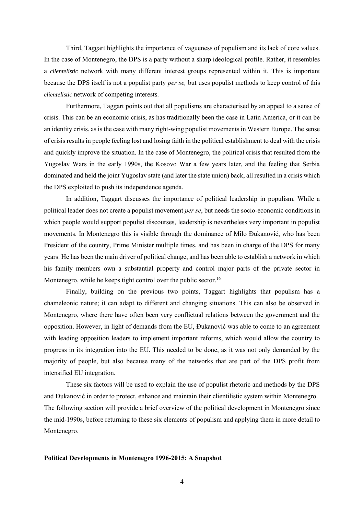Third, Taggart highlights the importance of vagueness of populism and its lack of core values. In the case of Montenegro, the DPS is a party without a sharp ideological profile. Rather, it resembles a *clientelistic* network with many different interest groups represented within it. This is important because the DPS itself is not a populist party *per se,* but uses populist methods to keep control of this *clientelistic* network of competing interests.

Furthermore, Taggart points out that all populisms are characterised by an appeal to a sense of crisis. This can be an economic crisis, as has traditionally been the case in Latin America, or it can be an identity crisis, as is the case with many right-wing populist movements in Western Europe. The sense of crisis results in people feeling lost and losing faith in the political establishment to deal with the crisis and quickly improve the situation. In the case of Montenegro, the political crisis that resulted from the Yugoslav Wars in the early 1990s, the Kosovo War a few years later, and the feeling that Serbia dominated and held the joint Yugoslav state (and later the state union) back, all resulted in a crisis which the DPS exploited to push its independence agenda.

In addition, Taggart discusses the importance of political leadership in populism. While a political leader does not create a populist movement *per se*, but needs the socio-economic conditions in which people would support populist discourses, leadership is nevertheless very important in populist movements. In Montenegro this is visible through the dominance of Milo Đukanović, who has been President of the country, Prime Minister multiple times, and has been in charge of the DPS for many years. He has been the main driver of political change, and has been able to establish a network in which his family members own a substantial property and control major parts of the private sector in Montenegro, while he keeps tight control over the public sector.<sup>16</sup>

Finally, building on the previous two points, Taggart highlights that populism has a chameleonic nature; it can adapt to different and changing situations. This can also be observed in Montenegro, where there have often been very conflictual relations between the government and the opposition. However, in light of demands from the EU, Đukanović was able to come to an agreement with leading opposition leaders to implement important reforms, which would allow the country to progress in its integration into the EU. This needed to be done, as it was not only demanded by the majority of people, but also because many of the networks that are part of the DPS profit from intensified EU integration.

These six factors will be used to explain the use of populist rhetoric and methods by the DPS and Đukanović in order to protect, enhance and maintain their clientilistic system within Montenegro. The following section will provide a brief overview of the political development in Montenegro since the mid-1990s, before returning to these six elements of populism and applying them in more detail to Montenegro.

# **Political Developments in Montenegro 1996-2015: A Snapshot**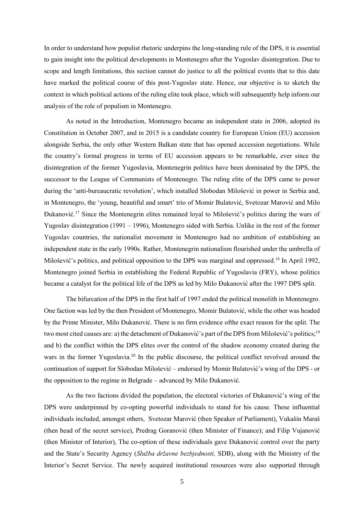In order to understand how populist rhetoric underpins the long-standing rule of the DPS, it is essential to gain insight into the political developments in Montenegro after the Yugoslav disintegration. Due to scope and length limitations, this section cannot do justice to all the political events that to this date have marked the political course of this post-Yugoslav state. Hence, our objective is to sketch the context in which political actions of the ruling elite took place, which will subsequently help inform our analysis of the role of populism in Montenegro.

As noted in the Introduction, Montenegro became an independent state in 2006, adopted its Constitution in October 2007, and in 2015 is a candidate country for European Union (EU) accession alongside Serbia, the only other Western Balkan state that has opened accession negotiations. While the country's formal progress in terms of EU accession appears to be remarkable, ever since the disintegration of the former Yugoslavia, Montenegrin politics have been dominated by the DPS, the successor to the League of Communists of Montenegro. The ruling elite of the DPS came to power during the 'anti-bureaucratic revolution', which installed Slobodan Milošević in power in Serbia and, in Montenegro, the 'young, beautiful and smart' trio of Momir Bulatović, Svetozar Marović and Milo Đukanović.<sup>17</sup> Since the Montenegrin elites remained loyal to Milošević's politics during the wars of Yugoslav disintegration (1991 – 1996), Montenegro sided with Serbia. Unlike in the rest of the former Yugoslav countries, the nationalist movement in Montenegro had no ambition of establishing an independent state in the early 1990s. Rather, Montenegrin nationalism flourished under the umbrella of Milošević's politics, and political opposition to the DPS was marginal and oppressed.<sup>18</sup> In April 1992, Montenegro joined Serbia in establishing the Federal Republic of Yugoslavia (FRY), whose politics became a catalyst for the political life of the DPS as led by Milo Đukanović after the 1997 DPS split.

The bifurcation of the DPS in the first half of 1997 ended the political monolith in Montenegro. One faction was led by the then President of Montenegro, Momir Bulatović, while the other was headed by the Prime Minister, Milo Đukanović. There is no firm evidence ofthe exact reason for the split. The two most cited causes are: a) the detachment of Đukanović's part of the DPS from Milošević's politics;<sup>19</sup> and b) the conflict within the DPS elites over the control of the shadow economy created during the wars in the former Yugoslavia.<sup>20</sup> In the public discourse, the political conflict revolved around the continuation of support for Slobodan Milošević – endorsed by Momir Bulatović's wing of the DPS - or the opposition to the regime in Belgrade – advanced by Milo Đukanović.

As the two factions divided the population, the electoral victories of Đukanović's wing of the DPS were underpinned by co-opting powerful individuals to stand for his cause. These influential individuals included, amongst others, Svetozar Marović (then Speaker of Parliament), Vukašin Maraš (then head of the secret service), Predrag Goranović (then Minister of Finance); and Filip Vujanović (then Minister of Interior), The co-option of these individuals gave Đukanović control over the party and the State's Security Agency (*Služba državne bezbjednosti,* SDB), along with the Ministry of the Interior's Secret Service. The newly acquired institutional resources were also supported through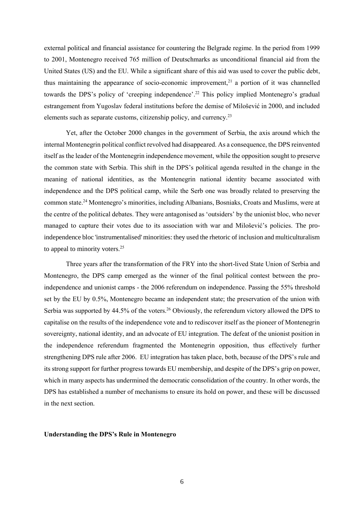external political and financial assistance for countering the Belgrade regime. In the period from 1999 to 2001, Montenegro received 765 million of Deutschmarks as unconditional financial aid from the United States (US) and the EU. While a significant share of this aid was used to cover the public debt, thus maintaining the appearance of socio-economic improvement, <sup>21</sup> a portion of it was channelled towards the DPS's policy of 'creeping independence'. <sup>22</sup> This policy implied Montenegro's gradual estrangement from Yugoslav federal institutions before the demise of Milošević in 2000, and included elements such as separate customs, citizenship policy, and currency.<sup>23</sup>

Yet, after the October 2000 changes in the government of Serbia, the axis around which the internal Montenegrin political conflict revolved had disappeared. As a consequence, the DPS reinvented itself as the leader of the Montenegrin independence movement, while the opposition sought to preserve the common state with Serbia. This shift in the DPS's political agenda resulted in the change in the meaning of national identities, as the Montenegrin national identity became associated with independence and the DPS political camp, while the Serb one was broadly related to preserving the common state. <sup>24</sup> Montenegro's minorities, including Albanians, Bosniaks, Croats and Muslims, were at the centre of the political debates. They were antagonised as 'outsiders' by the unionist bloc, who never managed to capture their votes due to its association with war and Milošević's policies. The proindependence bloc 'instrumentalised' minorities: they used the rhetoric of inclusion and multiculturalism to appeal to minority voters.<sup>25</sup>

Three years after the transformation of the FRY into the short-lived State Union of Serbia and Montenegro, the DPS camp emerged as the winner of the final political contest between the proindependence and unionist camps - the 2006 referendum on independence. Passing the 55% threshold set by the EU by 0.5%, Montenegro became an independent state; the preservation of the union with Serbia was supported by 44.5% of the voters.<sup>26</sup> Obviously, the referendum victory allowed the DPS to capitalise on the results of the independence vote and to rediscover itself as the pioneer of Montenegrin sovereignty, national identity, and an advocate of EU integration. The defeat of the unionist position in the independence referendum fragmented the Montenegrin opposition, thus effectively further strengthening DPS rule after 2006. EU integration has taken place, both, because of the DPS's rule and its strong support for further progress towards EU membership, and despite of the DPS's grip on power, which in many aspects has undermined the democratic consolidation of the country. In other words, the DPS has established a number of mechanisms to ensure its hold on power, and these will be discussed in the next section.

#### **Understanding the DPS's Rule in Montenegro**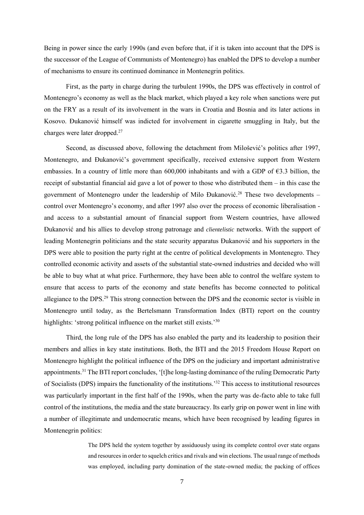Being in power since the early 1990s (and even before that, if it is taken into account that the DPS is the successor of the League of Communists of Montenegro) has enabled the DPS to develop a number of mechanisms to ensure its continued dominance in Montenegrin politics.

First, as the party in charge during the turbulent 1990s, the DPS was effectively in control of Montenegro's economy as well as the black market, which played a key role when sanctions were put on the FRY as a result of its involvement in the wars in Croatia and Bosnia and its later actions in Kosovo. Đukanović himself was indicted for involvement in cigarette smuggling in Italy, but the charges were later dropped. 27

Second, as discussed above, following the detachment from Milošević's politics after 1997, Montenegro, and Đukanović's government specifically, received extensive support from Western embassies. In a country of little more than  $600,000$  inhabitants and with a GDP of  $63.3$  billion, the receipt of substantial financial aid gave a lot of power to those who distributed them – in this case the government of Montenegro under the leadership of Milo Đukanović.<sup>28</sup> These two developments – control over Montenegro's economy, and after 1997 also over the process of economic liberalisation and access to a substantial amount of financial support from Western countries, have allowed Đukanović and his allies to develop strong patronage and *clientelistic* networks. With the support of leading Montenegrin politicians and the state security apparatus Đukanović and his supporters in the DPS were able to position the party right at the centre of political developments in Montenegro. They controlled economic activity and assets of the substantial state-owned industries and decided who will be able to buy what at what price. Furthermore, they have been able to control the welfare system to ensure that access to parts of the economy and state benefits has become connected to political allegiance to the DPS.<sup>29</sup> This strong connection between the DPS and the economic sector is visible in Montenegro until today, as the Bertelsmann Transformation Index (BTI) report on the country highlights: 'strong political influence on the market still exists.'<sup>30</sup>

Third, the long rule of the DPS has also enabled the party and its leadership to position their members and allies in key state institutions. Both, the BTI and the 2015 Freedom House Report on Montenegro highlight the political influence of the DPS on the judiciary and important administrative appointments.<sup>31</sup> The BTI report concludes, '[t]he long-lasting dominance of the ruling Democratic Party of Socialists (DPS) impairs the functionality of the institutions.'<sup>32</sup> This access to institutional resources was particularly important in the first half of the 1990s, when the party was de-facto able to take full control of the institutions, the media and the state bureaucracy. Its early grip on power went in line with a number of illegitimate and undemocratic means, which have been recognised by leading figures in Montenegrin politics:

> The DPS held the system together by assiduously using its complete control over state organs and resources in order to squelch critics and rivals and win elections. The usual range of methods was employed, including party domination of the state-owned media; the packing of offices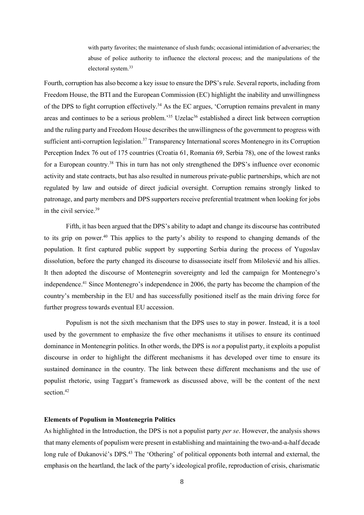with party favorites; the maintenance of slush funds; occasional intimidation of adversaries; the abuse of police authority to influence the electoral process; and the manipulations of the electoral system. 33

Fourth, corruption has also become a key issue to ensure the DPS's rule. Several reports, including from Freedom House, the BTI and the European Commission (EC) highlight the inability and unwillingness of the DPS to fight corruption effectively.<sup>34</sup> As the EC argues, 'Corruption remains prevalent in many areas and continues to be a serious problem.<sup>35</sup> Uzelac<sup>36</sup> established a direct link between corruption and the ruling party and Freedom House describes the unwillingness of the government to progress with sufficient anti-corruption legislation.<sup>37</sup> Transparency International scores Montenegro in its Corruption Perception Index 76 out of 175 countries (Croatia 61, Romania 69, Serbia 78), one of the lowest ranks for a European country.<sup>38</sup> This in turn has not only strengthened the DPS's influence over economic activity and state contracts, but has also resulted in numerous private-public partnerships, which are not regulated by law and outside of direct judicial oversight. Corruption remains strongly linked to patronage, and party members and DPS supporters receive preferential treatment when looking for jobs in the civil service.<sup>39</sup>

Fifth, it has been argued that the DPS's ability to adapt and change its discourse has contributed to its grip on power.<sup>40</sup> This applies to the party's ability to respond to changing demands of the population. It first captured public support by supporting Serbia during the process of Yugoslav dissolution, before the party changed its discourse to disassociate itself from Milošević and his allies. It then adopted the discourse of Montenegrin sovereignty and led the campaign for Montenegro's independence. <sup>41</sup> Since Montenegro's independence in 2006, the party has become the champion of the country's membership in the EU and has successfully positioned itself as the main driving force for further progress towards eventual EU accession.

Populism is not the sixth mechanism that the DPS uses to stay in power. Instead, it is a tool used by the government to emphasize the five other mechanisms it utilises to ensure its continued dominance in Montenegrin politics. In other words, the DPS is *not* a populist party, it exploits a populist discourse in order to highlight the different mechanisms it has developed over time to ensure its sustained dominance in the country. The link between these different mechanisms and the use of populist rhetoric, using Taggart's framework as discussed above, will be the content of the next section.<sup>42</sup>

# **Elements of Populism in Montenegrin Politics**

As highlighted in the Introduction, the DPS is not a populist party *per se*. However, the analysis shows that many elements of populism were present in establishing and maintaining the two-and-a-half decade long rule of Đukanović's DPS.<sup>43</sup> The 'Othering' of political opponents both internal and external, the emphasis on the heartland, the lack of the party's ideological profile, reproduction of crisis, charismatic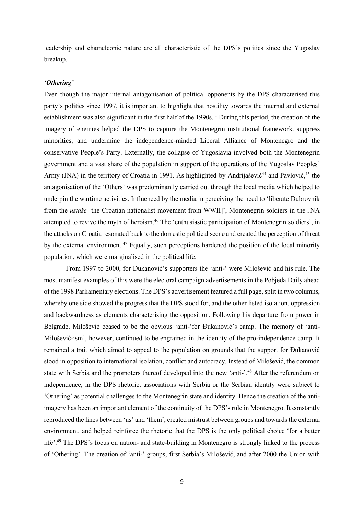leadership and chameleonic nature are all characteristic of the DPS's politics since the Yugoslav breakup.

#### *'Othering'*

Even though the major internal antagonisation of political opponents by the DPS characterised this party's politics since 1997, it is important to highlight that hostility towards the internal and external establishment was also significant in the first half of the 1990s. : During this period, the creation of the imagery of enemies helped the DPS to capture the Montenegrin institutional framework, suppress minorities, and undermine the independence-minded Liberal Alliance of Montenegro and the conservative People's Party. Externally, the collapse of Yugoslavia involved both the Montenegrin government and a vast share of the population in support of the operations of the Yugoslav Peoples' Army (JNA) in the territory of Croatia in 1991. As highlighted by Andrijašević<sup>44</sup> and Pavlović,<sup>45</sup> the antagonisation of the 'Others' was predominantly carried out through the local media which helped to underpin the wartime activities. Influenced by the media in perceiving the need to 'liberate Dubrovnik from the *ustaše* [the Croatian nationalist movement from WWII]', Montenegrin soldiers in the JNA attempted to revive the myth of heroism.<sup>46</sup> The 'enthusiastic participation of Montenegrin soldiers', in the attacks on Croatia resonated back to the domestic political scene and created the perception of threat by the external environment.<sup>47</sup> Equally, such perceptions hardened the position of the local minority population, which were marginalised in the political life.

From 1997 to 2000, for Đukanović's supporters the 'anti-' were Milošević and his rule. The most manifest examples of this were the electoral campaign advertisements in the Pobjeda Daily ahead of the 1998 Parliamentary elections. The DPS's advertisement featured a full page, split in two columns, whereby one side showed the progress that the DPS stood for, and the other listed isolation, oppression and backwardness as elements characterising the opposition. Following his departure from power in Belgrade, Milošević ceased to be the obvious 'anti-'for Đukanović's camp. The memory of 'anti-Milošević-ism', however, continued to be engrained in the identity of the pro-independence camp. It remained a trait which aimed to appeal to the population on grounds that the support for Đukanović stood in opposition to international isolation, conflict and autocracy. Instead of Milošević, the common state with Serbia and the promoters thereof developed into the new 'anti-'.<sup>48</sup> After the referendum on independence, in the DPS rhetoric, associations with Serbia or the Serbian identity were subject to 'Othering' as potential challenges to the Montenegrin state and identity. Hence the creation of the antiimagery has been an important element of the continuity of the DPS's rule in Montenegro. It constantly reproduced the lines between 'us' and 'them', created mistrust between groups and towards the external environment, and helped reinforce the rhetoric that the DPS is the only political choice 'for a better life'.<sup>49</sup> The DPS's focus on nation- and state-building in Montenegro is strongly linked to the process of 'Othering'. The creation of 'anti-' groups, first Serbia's Milošević, and after 2000 the Union with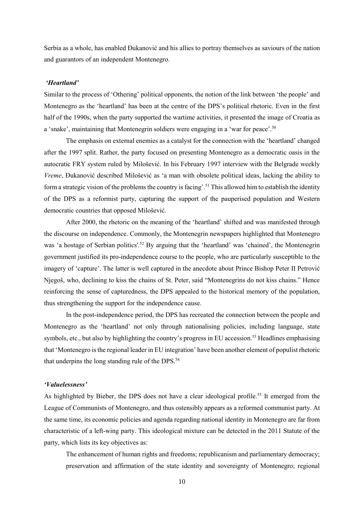Serbia as a whole, has enabled Đukanović and his allies to portray themselves as saviours of the nation and guarantors of an independent Montenegro.

#### *'Heartland'*

Similar to the process of 'Othering' political opponents, the notion of the link between 'the people' and Montenegro as the 'heartland' has been at the centre of the DPS's political rhetoric. Even in the first half of the 1990s, when the party supported the wartime activities, it presented the image of Croatia as a 'snake', maintaining that Montenegrin soldiers were engaging in a 'war for peace'.<sup>50</sup>

The emphasis on external enemies as a catalyst for the connection with the 'heartland' changed after the 1997 split. Rather, the party focused on presenting Montenegro as a democratic oasis in the autocratic FRY system ruled by Milošević. In his February 1997 interview with the Belgrade weekly *Vreme*, Đukanović described Milošević as 'a man with obsolete political ideas, lacking the ability to form a strategic vision of the problems the country is facing'.<sup>51</sup> This allowed him to establish the identity of the DPS as a reformist party, capturing the support of the pauperised population and Western democratic countries that opposed Milošević.

After 2000, the rhetoric on the meaning of the 'heartland' shifted and was manifested through the discourse on independence. Commonly, the Montenegrin newspapers highlighted that Montenegro was 'a hostage of Serbian politics'.<sup>52</sup> By arguing that the 'heartland' was 'chained', the Montenegrin government justified its pro-independence course to the people, who are particularly susceptible to the imagery of 'capture'. The latter is well captured in the anecdote about Prince Bishop Peter II Petrović Njegoš, who, declining to kiss the chains of St. Peter, said "Montenegrins do not kiss chains." Hence reinforcing the sense of capturedness, the DPS appealed to the historical memory of the population, thus strengthening the support for the independence cause.

In the post-independence period, the DPS has recreated the connection between the people and Montenegro as the 'heartland' not only through nationalising policies, including language, state symbols, etc., but also by highlighting the country's progress in EU accession.<sup>53</sup> Headlines emphasising that 'Montenegro is the regional leader in EU integration' have been another element of populist rhetoric that underpins the long standing rule of the DPS.<sup>54</sup>

# *'Valuelessness'*

As highlighted by Bieber, the DPS does not have a clear ideological profile.<sup>55</sup> It emerged from the League of Communists of Montenegro, and thus ostensibly appears as a reformed communist party. At the same time, its economic policies and agenda regarding national identity in Montenegro are far from characteristic of a left-wing party. This ideological mixture can be detected in the 2011 Statute of the party, which lists its key objectives as:

The enhancement of human rights and freedoms; republicanism and parliamentary democracy; preservation and affirmation of the state identity and sovereignty of Montenegro; regional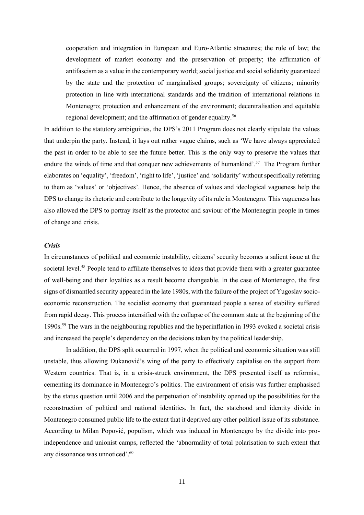cooperation and integration in European and Euro-Atlantic structures; the rule of law; the development of market economy and the preservation of property; the affirmation of antifascism as a value in the contemporary world; social justice and social solidarity guaranteed by the state and the protection of marginalised groups; sovereignty of citizens; minority protection in line with international standards and the tradition of international relations in Montenegro; protection and enhancement of the environment; decentralisation and equitable regional development; and the affirmation of gender equality.<sup>56</sup>

In addition to the statutory ambiguities, the DPS's 2011 Program does not clearly stipulate the values that underpin the party. Instead, it lays out rather vague claims, such as 'We have always appreciated the past in order to be able to see the future better. This is the only way to preserve the values that endure the winds of time and that conquer new achievements of humankind'.<sup>57</sup> The Program further elaborates on 'equality', 'freedom', 'right to life', 'justice' and 'solidarity' without specifically referring to them as 'values' or 'objectives'. Hence, the absence of values and ideological vagueness help the DPS to change its rhetoric and contribute to the longevity of its rule in Montenegro. This vagueness has also allowed the DPS to portray itself as the protector and saviour of the Montenegrin people in times of change and crisis.

# *Crisis*

In circumstances of political and economic instability, citizens' security becomes a salient issue at the societal level.<sup>58</sup> People tend to affiliate themselves to ideas that provide them with a greater guarantee of well-being and their loyalties as a result become changeable. In the case of Montenegro, the first signs of dismantled security appeared in the late 1980s, with the failure of the project of Yugoslav socioeconomic reconstruction. The socialist economy that guaranteed people a sense of stability suffered from rapid decay. This process intensified with the collapse of the common state at the beginning of the 1990s. <sup>59</sup> The wars in the neighbouring republics and the hyperinflation in 1993 evoked a societal crisis and increased the people's dependency on the decisions taken by the political leadership.

In addition, the DPS split occurred in 1997, when the political and economic situation was still unstable, thus allowing Đukanović's wing of the party to effectively capitalise on the support from Western countries. That is, in a crisis-struck environment, the DPS presented itself as reformist, cementing its dominance in Montenegro's politics. The environment of crisis was further emphasised by the status question until 2006 and the perpetuation of instability opened up the possibilities for the reconstruction of political and national identities. In fact, the statehood and identity divide in Montenegro consumed public life to the extent that it deprived any other political issue of its substance. According to Milan Popović, populism, which was induced in Montenegro by the divide into proindependence and unionist camps, reflected the 'abnormality of total polarisation to such extent that any dissonance was unnoticed'. 60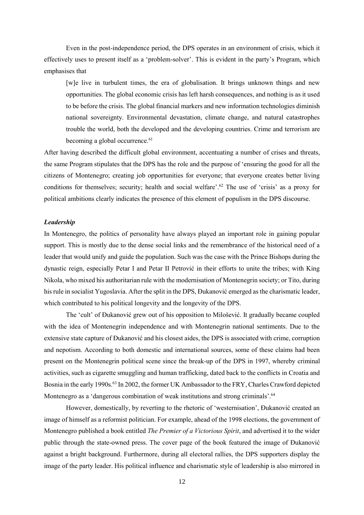Even in the post-independence period, the DPS operates in an environment of crisis, which it effectively uses to present itself as a 'problem-solver'. This is evident in the party's Program, which emphasises that

[w]e live in turbulent times, the era of globalisation. It brings unknown things and new opportunities. The global economic crisis has left harsh consequences, and nothing is as it used to be before the crisis. The global financial markers and new information technologies diminish national sovereignty. Environmental devastation, climate change, and natural catastrophes trouble the world, both the developed and the developing countries. Crime and terrorism are becoming a global occurrence.<sup>61</sup>

After having described the difficult global environment, accentuating a number of crises and threats, the same Program stipulates that the DPS has the role and the purpose of 'ensuring the good for all the citizens of Montenegro; creating job opportunities for everyone; that everyone creates better living conditions for themselves; security; health and social welfare'. <sup>62</sup> The use of 'crisis' as a proxy for political ambitions clearly indicates the presence of this element of populism in the DPS discourse.

#### *Leadership*

In Montenegro, the politics of personality have always played an important role in gaining popular support. This is mostly due to the dense social links and the remembrance of the historical need of a leader that would unify and guide the population. Such was the case with the Prince Bishops during the dynastic reign, especially Petar I and Petar II Petrović in their efforts to unite the tribes; with King Nikola, who mixed his authoritarian rule with the modernisation of Montenegrin society; or Tito, during his rule in socialist Yugoslavia. After the split in the DPS, Đukanović emerged as the charismatic leader, which contributed to his political longevity and the longevity of the DPS.

The 'cult' of Đukanović grew out of his opposition to Milošević. It gradually became coupled with the idea of Montenegrin independence and with Montenegrin national sentiments. Due to the extensive state capture of Đukanović and his closest aides, the DPS is associated with crime, corruption and nepotism. According to both domestic and international sources, some of these claims had been present on the Montenegrin political scene since the break-up of the DPS in 1997, whereby criminal activities, such as cigarette smuggling and human trafficking, dated back to the conflicts in Croatia and Bosnia in the early 1990s. <sup>63</sup> In 2002, the former UK Ambassador to the FRY, Charles Crawford depicted Montenegro as a 'dangerous combination of weak institutions and strong criminals'.<sup>64</sup>

However, domestically, by reverting to the rhetoric of 'westernisation', Đukanović created an image of himself as a reformist politician. For example, ahead of the 1998 elections, the government of Montenegro published a book entitled *The Premier of a Victorious Spirit*, and advertised it to the wider public through the state-owned press. The cover page of the book featured the image of Đukanović against a bright background. Furthermore, during all electoral rallies, the DPS supporters display the image of the party leader. His political influence and charismatic style of leadership is also mirrored in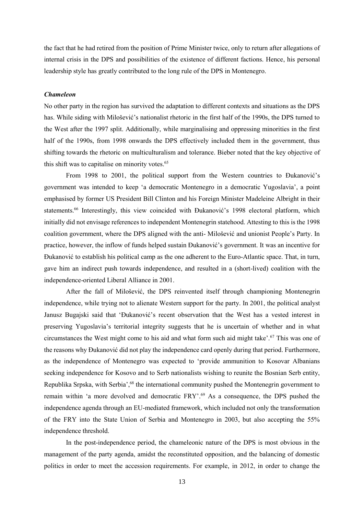the fact that he had retired from the position of Prime Minister twice, only to return after allegations of internal crisis in the DPS and possibilities of the existence of different factions. Hence, his personal leadership style has greatly contributed to the long rule of the DPS in Montenegro.

#### *Chameleon*

No other party in the region has survived the adaptation to different contexts and situations as the DPS has. While siding with Milošević's nationalist rhetoric in the first half of the 1990s, the DPS turned to the West after the 1997 split. Additionally, while marginalising and oppressing minorities in the first half of the 1990s, from 1998 onwards the DPS effectively included them in the government, thus shifting towards the rhetoric on multiculturalism and tolerance. Bieber noted that the key objective of this shift was to capitalise on minority votes.<sup>65</sup>

From 1998 to 2001, the political support from the Western countries to Đukanović's government was intended to keep 'a democratic Montenegro in a democratic Yugoslavia', a point emphasised by former US President Bill Clinton and his Foreign Minister Madeleine Albright in their statements.<sup>66</sup> Interestingly, this view coincided with Đukanović's 1998 electoral platform, which initially did not envisage references to independent Montenegrin statehood. Attesting to this is the 1998 coalition government, where the DPS aligned with the anti- Milošević and unionist People's Party. In practice, however, the inflow of funds helped sustain Đukanović's government. It was an incentive for Đukanović to establish his political camp as the one adherent to the Euro-Atlantic space. That, in turn, gave him an indirect push towards independence, and resulted in a (short-lived) coalition with the independence-oriented Liberal Alliance in 2001.

After the fall of Milošević, the DPS reinvented itself through championing Montenegrin independence, while trying not to alienate Western support for the party. In 2001, the political analyst Janusz Bugajski said that 'Đukanović's recent observation that the West has a vested interest in preserving Yugoslavia's territorial integrity suggests that he is uncertain of whether and in what circumstances the West might come to his aid and what form such aid might take'.<sup>67</sup> This was one of the reasons why Đukanović did not play the independence card openly during that period. Furthermore, as the independence of Montenegro was expected to 'provide ammunition to Kosovar Albanians seeking independence for Kosovo and to Serb nationalists wishing to reunite the Bosnian Serb entity, Republika Srpska, with Serbia',<sup>68</sup> the international community pushed the Montenegrin government to remain within 'a more devolved and democratic FRY'. <sup>69</sup> As a consequence, the DPS pushed the independence agenda through an EU-mediated framework, which included not only the transformation of the FRY into the State Union of Serbia and Montenegro in 2003, but also accepting the 55% independence threshold.

In the post-independence period, the chameleonic nature of the DPS is most obvious in the management of the party agenda, amidst the reconstituted opposition, and the balancing of domestic politics in order to meet the accession requirements. For example, in 2012, in order to change the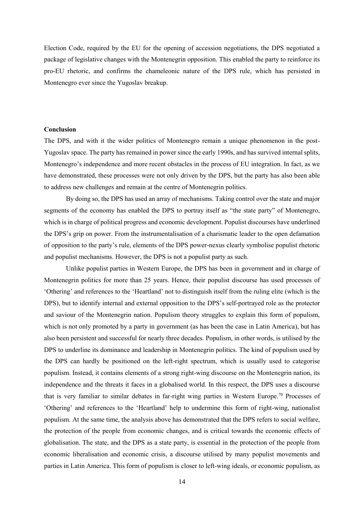Election Code, required by the EU for the opening of accession negotiations, the DPS negotiated a package of legislative changes with the Montenegrin opposition. This enabled the party to reinforce its pro-EU rhetoric, and confirms the chameleonic nature of the DPS rule, which has persisted in Montenegro ever since the Yugoslav breakup.

# **Conclusion**

The DPS, and with it the wider politics of Montenegro remain a unique phenomenon in the post-Yugoslav space. The party has remained in power since the early 1990s, and has survived internal splits, Montenegro's independence and more recent obstacles in the process of EU integration. In fact, as we have demonstrated, these processes were not only driven by the DPS, but the party has also been able to address new challenges and remain at the centre of Montenegrin politics.

By doing so, the DPS has used an array of mechanisms. Taking control over the state and major segments of the economy has enabled the DPS to portray itself as "the state party" of Montenegro, which is in charge of political progress and economic development. Populist discourses have underlined the DPS's grip on power. From the instrumentalisation of a charismatic leader to the open defamation of opposition to the party's rule, elements of the DPS power-nexus clearly symbolise populist rhetoric and populist mechanisms. However, the DPS is not a populist party as such.

Unlike populist parties in Western Europe, the DPS has been in government and in charge of Montenegrin politics for more than 25 years. Hence, their populist discourse has used processes of 'Othering' and references to the 'Heartland' not to distinguish itself from the ruling elite (which is the DPS), but to identify internal and external opposition to the DPS's self-portrayed role as the protector and saviour of the Montenegrin nation. Populism theory struggles to explain this form of populism, which is not only promoted by a party in government (as has been the case in Latin America), but has also been persistent and successful for nearly three decades. Populism, in other words, is utilised by the DPS to underline its dominance and leadership in Montenegrin politics. The kind of populism used by the DPS can hardly be positioned on the left-right spectrum, which is usually used to categorise populism. Instead, it contains elements of a strong right-wing discourse on the Montenegrin nation, its independence and the threats it faces in a globalised world. In this respect, the DPS uses a discourse that is very familiar to similar debates in far-right wing parties in Western Europe.<sup>70</sup> Processes of 'Othering' and references to the 'Heartland' help to undermine this form of right-wing, nationalist populism. At the same time, the analysis above has demonstrated that the DPS refers to social welfare, the protection of the people from economic changes, and is critical towards the economic effects of globalisation. The state, and the DPS as a state party, is essential in the protection of the people from economic liberalisation and economic crisis, a discourse utilised by many populist movements and parties in Latin America. This form of populism is closer to left-wing ideals, or economic populism, as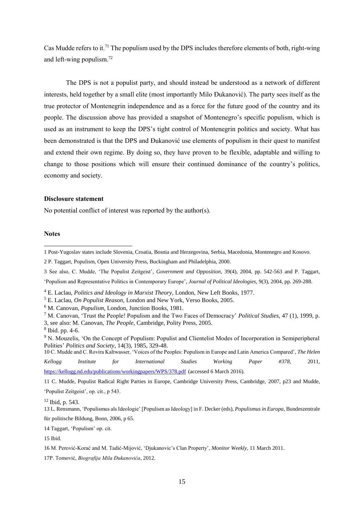Cas Mudde refers to it.<sup>71</sup> The populism used by the DPS includes therefore elements of both, right-wing and left-wing populism.<sup>72</sup>

The DPS is not a populist party, and should instead be understood as a network of different interests, held together by a small elite (most importantly Milo Đukanović). The party sees itself as the true protector of Montenegrin independence and as a force for the future good of the country and its people. The discussion above has provided a snapshot of Montenegro's specific populism, which is used as an instrument to keep the DPS's tight control of Montenegrin politics and society. What has been demonstrated is that the DPS and Đukanović use elements of populism in their quest to manifest and extend their own regime. By doing so, they have proven to be flexible, adaptable and willing to change to those positions which will ensure their continued dominance of the country's politics, economy and society.

# **Disclosure statement**

No potential conflict of interest was reported by the author(s).

#### **Notes**

-

- 3 See also, C. Mudde, 'The Populist Zeitgeist'*, Government and Opposition*, 39(4), 2004, pp. 542-563 and P. Taggart,
- 'Populism and Representative Politics in Contemporary Europe'*, Journal of Political Ideologies*, 9(3), 2004, pp. 269-288.

- <sup>5</sup> E. Laclau, *On Populist Reason*, London and New York, Verso Books, 2005.
- <sup>6</sup> M. Canovan, *Populism*, London, Junction Books, 1981.
- <sup>7</sup> M. Canovan, 'Trust the People! Populism and the Two Faces of Democracy' *Political Studies*, 47 (1), 1999, p. 3, see also: M. Canovan, *The People*, Cambridge, Polity Press, 2005.
- 8 Ibid. pp. 4-6.
- <sup>9</sup> N. Mouzelis, 'On the Concept of Populism: Populist and Clientelist Modes of Incorporation in Semiperipheral Polities' *Politics and Society*, 14(3), 1985, 329-48.

10 C. Mudde and C. Rovira Kaltwasser, 'Voices of the Peoples: Populism in Europe and Latin America Compared', *The Helen* 

*Kellogg Institute for International Studies Working Paper #378,* 2011, <https://kellogg.nd.edu/publications/workingpapers/WPS/378.pdf> (accessed 6 March 2016).

11 C. Mudde, Populist Radical Right Parties in Europe, Cambridge University Press, Cambridge, 2007, p23 and Mudde, 'Populist Zeitgeist', op. cit., p 543.

<sup>12</sup> Ibid, p. 543.

13 L. Rensmann, 'Populismus als Ideologie' [Populism as Ideology] in F. Decker (eds), *Populismus in Europa*, Bundeszentrale für politische Bildung, Bonn, 2006, p 65.

14 Taggart, 'Populism' op. cit.

15 Ibid.

17P. Tomović, *Biografija Mila Đukanovića*, 2012.

<sup>1</sup> Post-Yugoslav states include Slovenia, Croatia, Bosnia and Herzegovina, Serbia, Macedonia, Montenegro and Kosovo.

<sup>2</sup> P. Taggart, Populism, Open University Press, Buckingham and Philadelphia, 2000.

<sup>4</sup> E. Laclau, *Politics and Ideology in Marxist Theory*, London, New Left Books, 1977.

<sup>16</sup> M. Perović-Korać and M. Tadić-Mijović, 'Djukanovic's Clan Property', *Monitor Weekly*, 11 March 2011.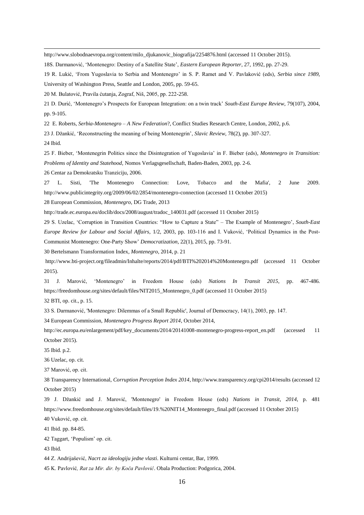[http://www.slobodnaevropa.org/content/milo\\_djukanovic\\_biografija/2254876.html](http://www.slobodnaevropa.org/content/milo_djukanovic_biografija/2254876.html) (accessed 11 October 2015).

18S. Darmanović, 'Montenegro: Destiny of a Satellite State', *Eastern European Reporter*, 27, 1992, pp. 27-29.

R. Lukić, 'From Yugoslavia to Serbia and Montenegro' in S. P. Ramet and V. Pavlaković (eds), *Serbia since 1989*,

University of Washington Press, Seattle and London, 2005, pp. 59-65.

M. Bulatović, Pravila ćutanja, Zograf, Niš, 2005, pp. 222-258.

 D. Durić, 'Montenegro's Prospects for European Integration: on a twin track' *South-East Europe Review*, 79(107), 2004, pp. 9-105.

22 E. Roberts, *Serbia-Montenegro – A New Federation*?, Conflict Studies Research Centre, London, 2002, p.6.

J. Džankić, 'Reconstructing the meaning of being Montenegrin', *Slavic Review*, 78(2), pp. 307-327.

Ibid.

 F. Bieber, 'Montenegrin Politics since the Disintegration of Yugoslavia' in F. Bieber (eds), *Montenegro in Transition: Problems of Identity and Statehood,* Nomos Verlagsgesellschaft, Baden-Baden, 2003, pp. 2-6.

Centar za Demokratsku Tranziciju, 2006.

 L. Sisti, 'The Montenegro Connection: Love, Tobacco and the Mafia', 2 June 2009. <http://www.publicintegrity.org/2009/06/02/2854/montenegro-connection> (accessed 11 October 2015)

European Commission, *Montenegro,* DG Trade, 2013

[http://trade.ec.europa.eu/doclib/docs/2008/august/tradoc\\_140031.pdf](http://trade.ec.europa.eu/doclib/docs/2008/august/tradoc_140031.pdf) (accessed 11 October 2015)

 S. Uzelac, 'Corruption in Transition Countries: "How to Capture a State" – The Example of Montenegro', *South-East Europe Review for Labour and Social Affairs*, 1/2, 2003, pp. 103-116 and I. Vuković, 'Political Dynamics in the Post-Communist Montenegro: One-Party Show' *Democratization*, 22(1), 2015, pp. 73-91.

Bertelsmann Transformation Index*, Montenegro*, 2014, p. 21

<http://www.bti-project.org/fileadmin/Inhalte/reports/2014/pdf/BTI%202014%20Montenegro.pdf> (accessed 11 October 2015).

 J. Marović, 'Montenegro' in Freedom House (eds) *Nations In Transit 2015*, pp. 467-486. [https://freedomhouse.org/sites/default/files/NIT2015\\_Montenegro\\_0.pdf](https://freedomhouse.org/sites/default/files/NIT2015_Montenegro_0.pdf) (accessed 11 October 2015)

BTI, op. cit., p. 15.

S. Darmanović, 'Montenegro: Dilemmas of a Small Republic', Journal of Democracy, 14(1), 2003, pp. 147.

European Commission, *Montenegro Progress Report 2014*, October 2014,

[http://ec.europa.eu/enlargement/pdf/key\\_documents/2014/20141008-montenegro-progress-report\\_en.pdf](http://ec.europa.eu/enlargement/pdf/key_documents/2014/20141008-montenegro-progress-report_en.pdf) (accessed 11 October 2015).

Ibid. p.2.

Uzelac, op. cit.

Marović, op. cit.

 Transparency International, *Corruption Perception Index 2014*[, http://www.transparency.org/cpi2014/results](http://www.transparency.org/cpi2014/results) (accessed 12 October 2015)

 J. Džankić and J. Marović, 'Montenegro' in Freedom House (eds) *Nations in Transit*, *2014*, p. 481 https://www.freedomhouse.org/sites/default/files/19.%20NIT14\_Montenegro\_final.pdf (accessed 11 October 2015)

Vuković, op. cit.

Ibid. pp. 84-85.

Taggart, 'Populism' op. cit.

Ibid.

Z. Andrijašević, *Nacrt za ideologiju jedne vlasti*. Kulturni centar, Bar, 1999.

K. Pavlović*, Rat za Mir. dir. by Koča Pavlović*. Obala Production: Podgorica, 2004.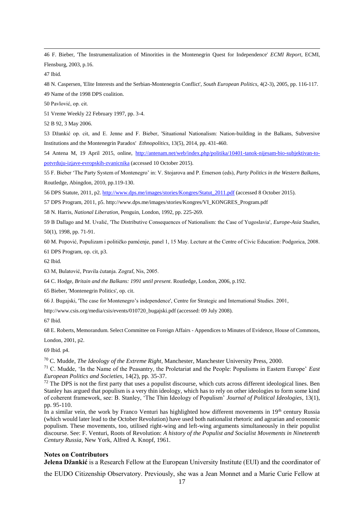1 46 F. Bieber, 'The Instrumentalization of Minorities in the Montenegrin Quest for Independence' *ECMI Report*, ECMI, Flensburg, 2003, p.16.

47 Ibid.

48 N. Caspersen, 'Elite Interests and the Serbian-Montenegrin Conflict', *South European Politics*, 4(2-3), 2005, pp. 116-117. 49 Name of the 1998 DPS coalition.

50 Pavlović, op. cit.

51 Vreme Weekly 22 February 1997, pp. 3-4.

52 B 92, 3 May 2006.

53 Džankić op. cit, and E. Jenne and F. Bieber, 'Situational Nationalism: Nation-building in the Balkans, Subversive Institutions and the Montenegrin Paradox' *Ethnopolitics*, 13(5), 2014, pp. 431-460.

54 Antena M, 19 April 2015, online, [http://antenam.net/web/index.php/politika/10401-tanok-nijesam-bio-subjektivan-to](http://antenam.net/web/index.php/politika/10401-tanok-nijesam-bio-subjektivan-to-potvrduju-izjave-evropskih-zvanicnika)[potvrduju-izjave-evropskih-zvanicnika](http://antenam.net/web/index.php/politika/10401-tanok-nijesam-bio-subjektivan-to-potvrduju-izjave-evropskih-zvanicnika) (accessed 10 October 2015).

55 F. Bieber 'The Party System of Montenegro' in: V. Stojarova and P. Emerson (eds), *Party Politics in the Western Balkan*s, Routledge, Abingdon, 2010, pp.119-130.

56 DPS Statute, 2011, p2[. http://www.dps.me/images/stories/Kongres/Statut\\_2011.pdf](http://www.dps.me/images/stories/Kongres/Statut_2011.pdf) (accessed 8 October 2015).

57 DPS Program, 2011, p5[. http://www.dps.me/images/stories/Kongres/VI\\_KONGRES\\_Program.pdf](http://www.dps.me/images/stories/Kongres/VI_KONGRES_Program.pdf)

58 N. Harris, *National Liberation*, Penguin, London, 1992, pp. 225-269.

59 B Dallago and M. Uvalić, 'The Distributive Consequences of Nationalism: the Case of Yugoslavia', *Europe-Asia Studies*, 50(1), 1998, pp. 71-91.

60 M. Popović, Populizam i političko pamćenje, panel 1, 15 May. Lecture at the Centre of Civic Education: Podgorica, 2008.

61 DPS Program, op. cit, p3.

62 Ibid.

63 M, Bulatović, Pravila ćutanja. Zograf, Nis, 2005.

64 C. Hodge, *Britain and the Balkans: 1991 until present*. Routledge, London, 2006, p.192.

65 Bieber, 'Montenegrin Politics', op. cit.

66 J. Bugajski, 'The case for Montenegro's independence', Centre for Strategic and International Studies. 2001,

http://www.csis.org/media/csis/events/010720\_bugajski.pdf (accessed: 09 July 2008).

67 Ibid.

68 E. Roberts, Memorandum. Select Committee on Foreign Affairs - Appendices to Minutes of Evidence, House of Commons,

London, 2001, p2.

69 Ibid. p4.

<sup>70</sup> C. Mudde, *The Ideology of the Extreme Right*, Manchester, Manchester University Press, 2000.

<sup>71</sup> C. Mudde, 'In the Name of the Peasantry, the Proletariat and the People: Populisms in Eastern Europe' *East European Politics and Societies*, 14(2), pp. 35-37.

 $<sup>72</sup>$  The DPS is not the first party that uses a populist discourse, which cuts across different ideological lines. Ben</sup> Stanley has argued that populism is a very thin ideology, which has to rely on other ideologies to form some kind of coherent framework, see: B. Stanley, 'The Thin Ideology of Populism' *Journal of Political Ideologies*, 13(1), pp. 95-110.

In a similar vein, the work by Franco Venturi has highlighted how different movements in  $19<sup>th</sup>$  century Russia (which would later lead to the October Revolution) have used both nationalist rhetoric and agrarian and economic populism. These movements, too, utilised right-wing and left-wing arguments simultaneously in their populist discourse. See: F. Venturi, Roots of Revolution: *A history of the Populist and Socialist Movements in Nineteenth Century Russia*, New York, Alfred A. Knopf, 1961.

#### **Notes on Contributors**

**Jelena Džankić** is a Research Fellow at the European University Institute (EUI) and the coordinator of

the EUDO Citizenship Observatory. Previously, she was a Jean Monnet and a Marie Curie Fellow at